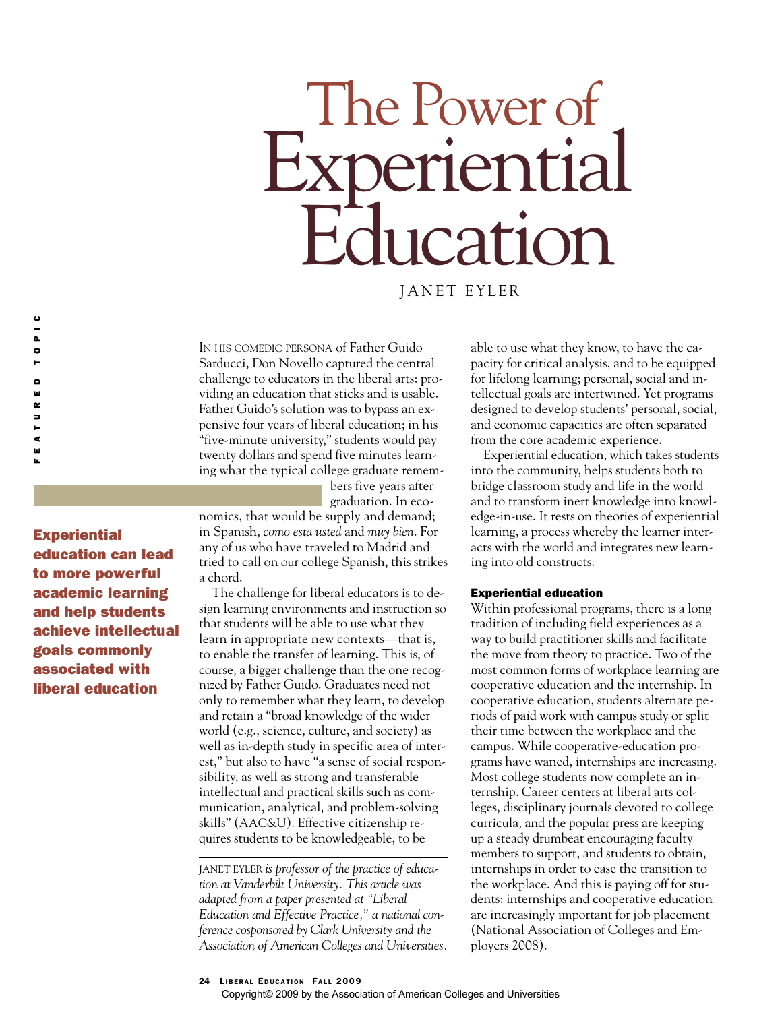# The Power of<br>xnerientia iential rcation

JANET EYLER

IN HIS COMEDIC PERSONA of Father Guido Sarducci, Don Novello captured the central challenge to educators in the liberal arts: providing an education that sticks and is usable. Father Guido's solution was to bypass an expensive four years of liberal education; in his "five-minute university," students would pay twenty dollars and spend five minutes learning what the typical college graduate remem-

> bers five years after graduation. In eco-

**Experiential** education can lead to more powerful academic learning and help students achieve intellectual goals commonly associated with liberal education

FEATURED TOPIC

م<br>س  $\approx$  $\overline{\phantom{a}}$ Ē ¢ ш

 $\frac{c}{c}$  $\bullet$ Н

> nomics, that would be supply and demand; in Spanish, *como esta usted* and *muy bien*. For any of us who have traveled to Madrid and tried to call on our college Spanish, this strikes a chord.

The challenge for liberal educators is to design learning environments and instruction so that students will be able to use what they learn in appropriate new contexts—that is, to enable the transfer of learning. This is, of course, a bigger challenge than the one recognized by Father Guido. Graduates need not only to remember what they learn, to develop and retain a "broad knowledge of the wider world (e.g., science, culture, and society) as well as in-depth study in specific area of interest," but also to have "a sense of social responsibility, as well as strong and transferable intellectual and practical skills such as communication, analytical, and problem-solving skills" (AAC&U). Effective citizenship requires students to be knowledgeable, to be

JANET EYLER *is professor of the practice of education at Vanderbilt University. This article was adapted from a paper presented at "Liberal Education and Effective Practice," a national conference cosponsored by Clark University and the Association of American Colleges and Universities.*

able to use what they know, to have the capacity for critical analysis, and to be equipped for lifelong learning; personal, social and intellectual goals are intertwined. Yet programs designed to develop students' personal, social, and economic capacities are often separated from the core academic experience.

Experiential education, which takes students into the community, helps students both to bridge classroom study and life in the world and to transform inert knowledge into knowledge-in-use. It rests on theories of experiential learning, a process whereby the learner interacts with the world and integrates new learning into old constructs.

# Experiential education

Within professional programs, there is a long tradition of including field experiences as a way to build practitioner skills and facilitate the move from theory to practice. Two of the most common forms of workplace learning are cooperative education and the internship. In cooperative education, students alternate periods of paid work with campus study or split their time between the workplace and the campus. While cooperative-education programs have waned, internships are increasing. Most college students now complete an internship. Career centers at liberal arts colleges, disciplinary journals devoted to college curricula, and the popular press are keeping up a steady drumbeat encouraging faculty members to support, and students to obtain, internships in order to ease the transition to the workplace. And this is paying off for students: internships and cooperative education are increasingly important for job placement (National Association of Colleges and Employers 2008).

## 24 LIBERAL EDUCATION FALL 2009

Copyright© 2009 by the Association of American Colleges and Universities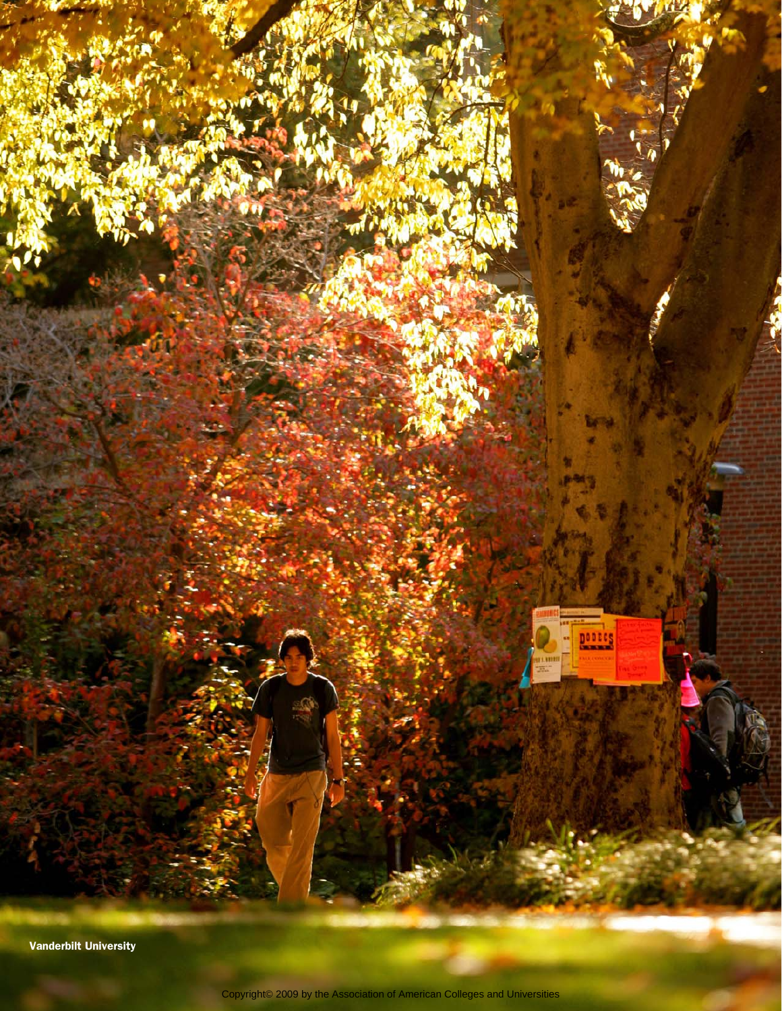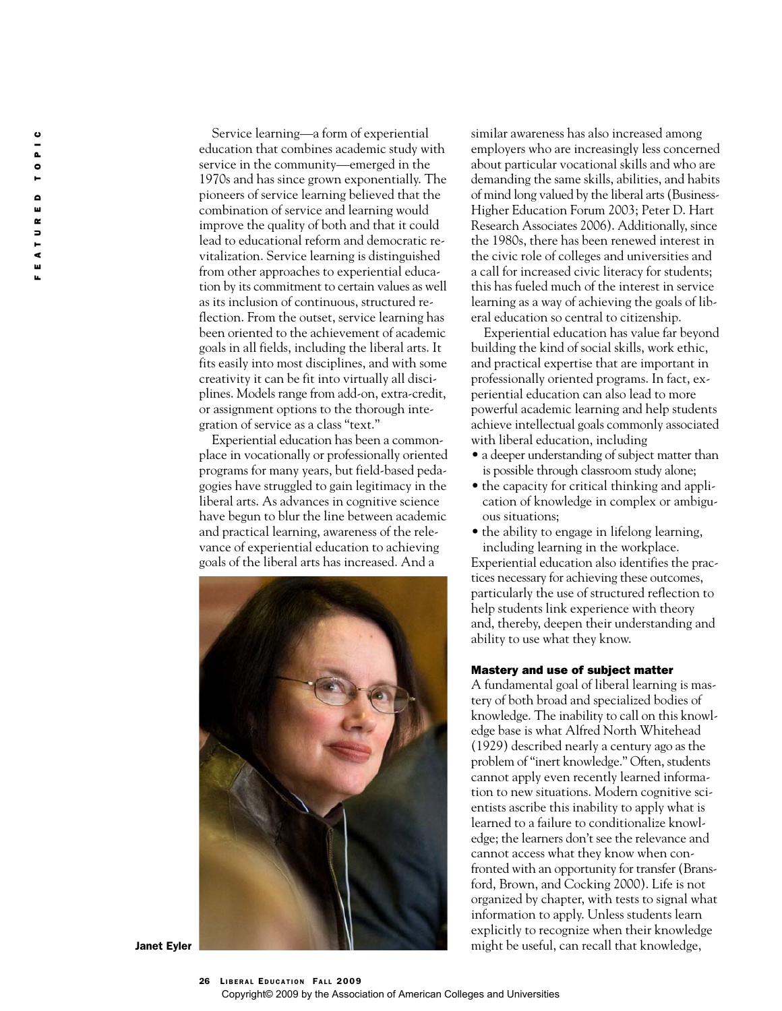FEATURED TOPIC  $\frac{1}{\alpha}$  $\bullet$  $\bullet$ ш  $\boldsymbol{\underline{\alpha}}$  $\frac{1}{1}$ ⋖ ш ú.

Service learning—a form of experiential education that combines academic study with service in the community—emerged in the 1970s and has since grown exponentially. The pioneers of service learning believed that the combination of service and learning would improve the quality of both and that it could lead to educational reform and democratic revitalization. Service learning is distinguished from other approaches to experiential education by its commitment to certain values as well as its inclusion of continuous, structured reflection. From the outset, service learning has been oriented to the achievement of academic goals in all fields, including the liberal arts. It fits easily into most disciplines, and with some creativity it can be fit into virtually all disciplines. Models range from add-on, extra-credit, or assignment options to the thorough integration of service as a class "text."

Experiential education has been a commonplace in vocationally or professionally oriented programs for many years, but field-based pedagogies have struggled to gain legitimacy in the liberal arts. As advances in cognitive science have begun to blur the line between academic and practical learning, awareness of the relevance of experiential education to achieving goals of the liberal arts has increased. And a



similar awareness has also increased among employers who are increasingly less concerned about particular vocational skills and who are demanding the same skills, abilities, and habits of mind long valued by the liberal arts (Business-Higher Education Forum 2003; Peter D. Hart Research Associates 2006). Additionally, since the 1980s, there has been renewed interest in the civic role of colleges and universities and a call for increased civic literacy for students; this has fueled much of the interest in service learning as a way of achieving the goals of liberal education so central to citizenship.

Experiential education has value far beyond building the kind of social skills, work ethic, and practical expertise that are important in professionally oriented programs. In fact, experiential education can also lead to more powerful academic learning and help students achieve intellectual goals commonly associated with liberal education, including

- a deeper understanding of subject matter than is possible through classroom study alone;
- the capacity for critical thinking and application of knowledge in complex or ambiguous situations;
- the ability to engage in lifelong learning, including learning in the workplace.

Experiential education also identifies the practices necessary for achieving these outcomes, particularly the use of structured reflection to help students link experience with theory and, thereby, deepen their understanding and ability to use what they know.

# Mastery and use of subject matter

A fundamental goal of liberal learning is mastery of both broad and specialized bodies of knowledge. The inability to call on this knowledge base is what Alfred North Whitehead (1929) described nearly a century ago as the problem of "inert knowledge." Often, students cannot apply even recently learned information to new situations. Modern cognitive scientists ascribe this inability to apply what is learned to a failure to conditionalize knowledge; the learners don't see the relevance and cannot access what they know when confronted with an opportunity for transfer (Bransford, Brown, and Cocking 2000). Life is not organized by chapter, with tests to signal what information to apply. Unless students learn explicitly to recognize when their knowledge might be useful, can recall that knowledge,

Janet Eyler

26 LIBERAL EDUCATION FALL 2009 Copyright© 2009 by the Association of American Colleges and Universities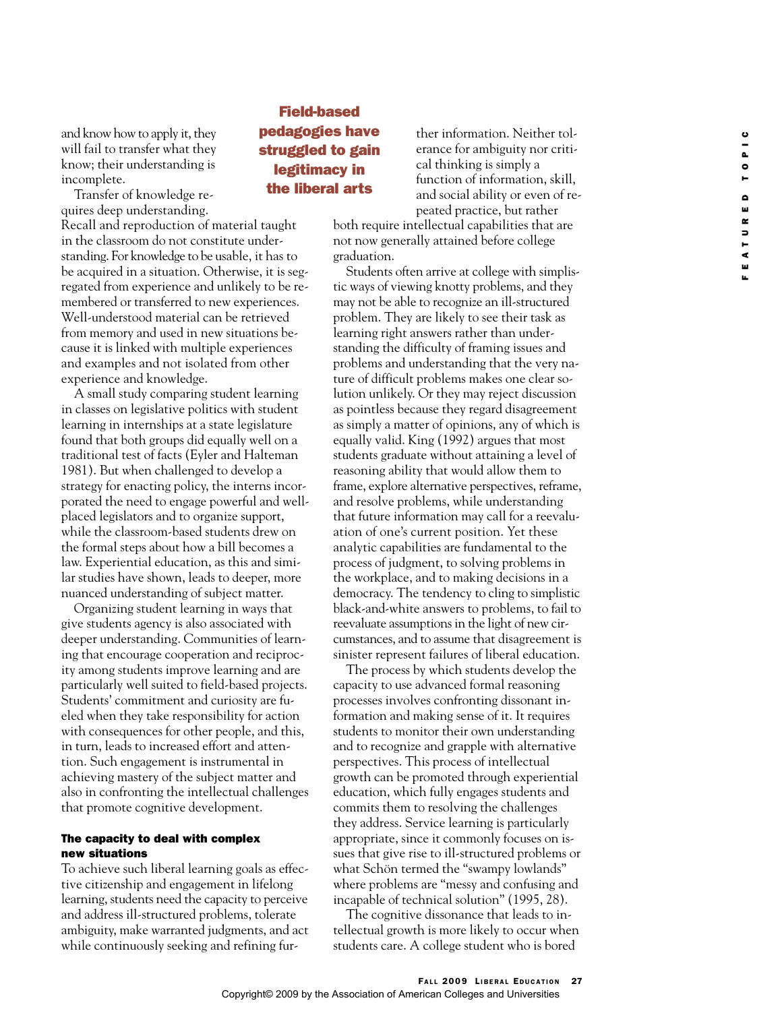and know how to apply it, they will fail to transfer what they know; their understanding is incomplete.

Transfer of knowledge requires deep understanding.

Recall and reproduction of material taught in the classroom do not constitute understanding. For knowledge to be usable, it has to be acquired in a situation. Otherwise, it is segregated from experience and unlikely to be remembered or transferred to new experiences. Well-understood material can be retrieved from memory and used in new situations because it is linked with multiple experiences and examples and not isolated from other experience and knowledge.

A small study comparing student learning in classes on legislative politics with student learning in internships at a state legislature found that both groups did equally well on a traditional test of facts (Eyler and Halteman 1981). But when challenged to develop a strategy for enacting policy, the interns incorporated the need to engage powerful and wellplaced legislators and to organize support, while the classroom-based students drew on the formal steps about how a bill becomes a law. Experiential education, as this and similar studies have shown, leads to deeper, more nuanced understanding of subject matter.

Organizing student learning in ways that give students agency is also associated with deeper understanding. Communities of learning that encourage cooperation and reciprocity among students improve learning and are particularly well suited to field-based projects. Students' commitment and curiosity are fueled when they take responsibility for action with consequences for other people, and this, in turn, leads to increased effort and attention. Such engagement is instrumental in achieving mastery of the subject matter and also in confronting the intellectual challenges that promote cognitive development.

# The capacity to deal with complex new situations

To achieve such liberal learning goals as effective citizenship and engagement in lifelong learning, students need the capacity to perceive and address ill-structured problems, tolerate ambiguity, make warranted judgments, and act while continuously seeking and refining fur-

# Field-based pedagogies have struggled to gain legitimacy in the liberal arts

ther information. Neither tolerance for ambiguity nor critical thinking is simply a function of information, skill, and social ability or even of repeated practice, but rather

both require intellectual capabilities that are not now generally attained before college graduation.

Students often arrive at college with simplistic ways of viewing knotty problems, and they may not be able to recognize an ill-structured problem. They are likely to see their task as learning right answers rather than understanding the difficulty of framing issues and problems and understanding that the very nature of difficult problems makes one clear solution unlikely. Or they may reject discussion as pointless because they regard disagreement as simply a matter of opinions, any of which is equally valid. King (1992) argues that most students graduate without attaining a level of reasoning ability that would allow them to frame, explore alternative perspectives, reframe, and resolve problems, while understanding that future information may call for a reevaluation of one's current position. Yet these analytic capabilities are fundamental to the process of judgment, to solving problems in the workplace, and to making decisions in a democracy. The tendency to cling to simplistic black-and-white answers to problems, to fail to reevaluate assumptions in the light of new circumstances, and to assume that disagreement is sinister represent failures of liberal education.

The process by which students develop the capacity to use advanced formal reasoning processes involves confronting dissonant information and making sense of it. It requires students to monitor their own understanding and to recognize and grapple with alternative perspectives. This process of intellectual growth can be promoted through experiential education, which fully engages students and commits them to resolving the challenges they address. Service learning is particularly appropriate, since it commonly focuses on issues that give rise to ill-structured problems or what Schön termed the "swampy lowlands" where problems are "messy and confusing and incapable of technical solution" (1995, 28).

The cognitive dissonance that leads to intellectual growth is more likely to occur when students care. A college student who is bored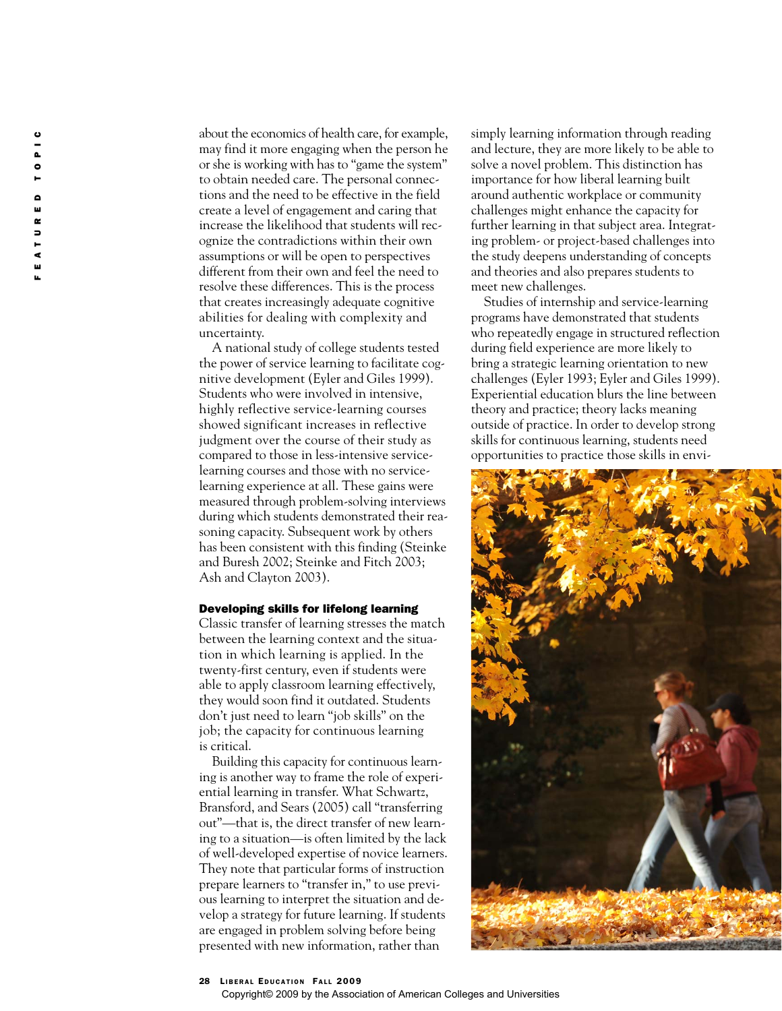about the economics of health care, for example, may find it more engaging when the person he or she is working with has to "game the system" to obtain needed care. The personal connections and the need to be effective in the field create a level of engagement and caring that increase the likelihood that students will recognize the contradictions within their own assumptions or will be open to perspectives different from their own and feel the need to resolve these differences. This is the process that creates increasingly adequate cognitive abilities for dealing with complexity and uncertainty.

A national study of college students tested the power of service learning to facilitate cognitive development (Eyler and Giles 1999). Students who were involved in intensive, highly reflective service-learning courses showed significant increases in reflective judgment over the course of their study as compared to those in less-intensive servicelearning courses and those with no servicelearning experience at all. These gains were measured through problem-solving interviews during which students demonstrated their reasoning capacity. Subsequent work by others has been consistent with this finding (Steinke and Buresh 2002; Steinke and Fitch 2003; Ash and Clayton 2003).

## Developing skills for lifelong learning

Classic transfer of learning stresses the match between the learning context and the situation in which learning is applied. In the twenty-first century, even if students were able to apply classroom learning effectively, they would soon find it outdated. Students don't just need to learn "job skills" on the job; the capacity for continuous learning is critical.

Building this capacity for continuous learning is another way to frame the role of experiential learning in transfer. What Schwartz, Bransford, and Sears (2005) call "transferring out"—that is, the direct transfer of new learning to a situation—is often limited by the lack of well-developed expertise of novice learners. They note that particular forms of instruction prepare learners to "transfer in," to use previous learning to interpret the situation and develop a strategy for future learning. If students are engaged in problem solving before being presented with new information, rather than

simply learning information through reading and lecture, they are more likely to be able to solve a novel problem. This distinction has importance for how liberal learning built around authentic workplace or community challenges might enhance the capacity for further learning in that subject area. Integrating problem- or project-based challenges into the study deepens understanding of concepts and theories and also prepares students to meet new challenges.

Studies of internship and service-learning programs have demonstrated that students who repeatedly engage in structured reflection during field experience are more likely to bring a strategic learning orientation to new challenges (Eyler 1993; Eyler and Giles 1999). Experiential education blurs the line between theory and practice; theory lacks meaning outside of practice. In order to develop strong skills for continuous learning, students need opportunities to practice those skills in envi-



#### 28 LIBERAL EDUCATION FALL 2009

#### Copyright© 2009 by the Association of American Colleges and Universities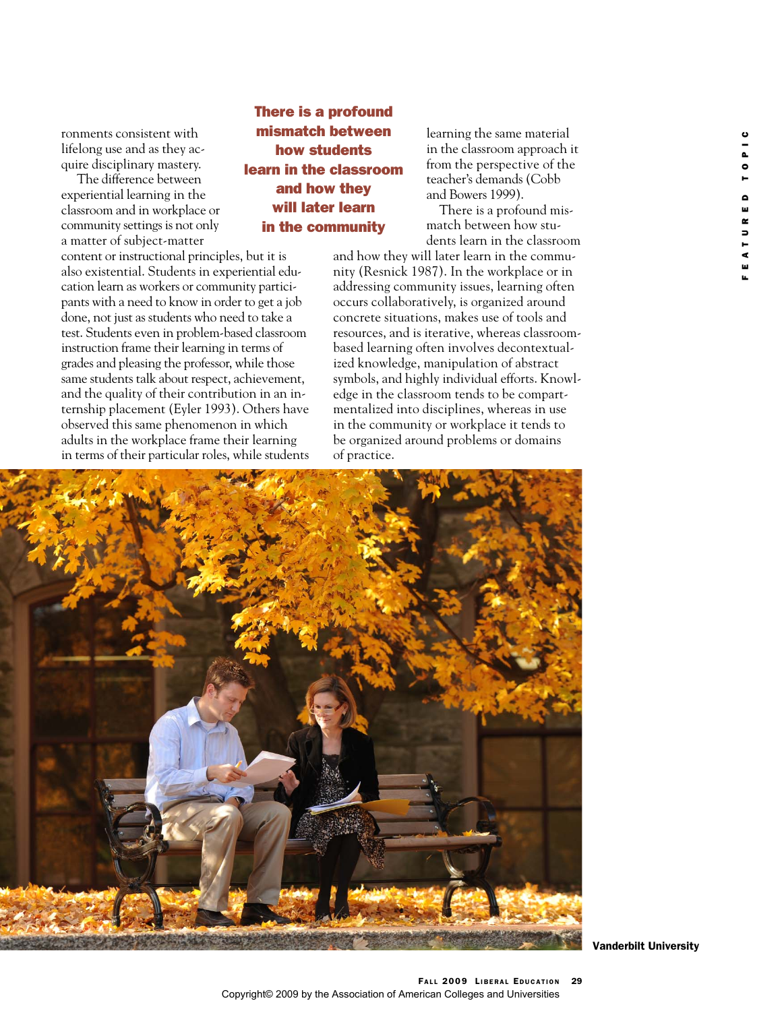ronments consistent with lifelong use and as they acquire disciplinary mastery.

The difference between experiential learning in the classroom and in workplace or community settings is not only a matter of subject-matter content or instructional principles, but it is also existential. Students in experiential education learn as workers or community participants with a need to know in order to get a job done, not just as students who need to take a test. Students even in problem-based classroom instruction frame their learning in terms of grades and pleasing the professor, while those same students talk about respect, achievement, and the quality of their contribution in an internship placement (Eyler 1993). Others have observed this same phenomenon in which adults in the workplace frame their learning in terms of their particular roles, while students

# There is a profound mismatch between how students learn in the classroom and how they will later learn in the community

learning the same material in the classroom approach it from the perspective of the teacher's demands (Cobb and Bowers 1999).

There is a profound mismatch between how students learn in the classroom

and how they will later learn in the community (Resnick 1987). In the workplace or in addressing community issues, learning often occurs collaboratively, is organized around concrete situations, makes use of tools and resources, and is iterative, whereas classroombased learning often involves decontextualized knowledge, manipulation of abstract symbols, and highly individual efforts. Knowledge in the classroom tends to be compartmentalized into disciplines, whereas in use in the community or workplace it tends to be organized around problems or domains of practice.



Vanderbilt University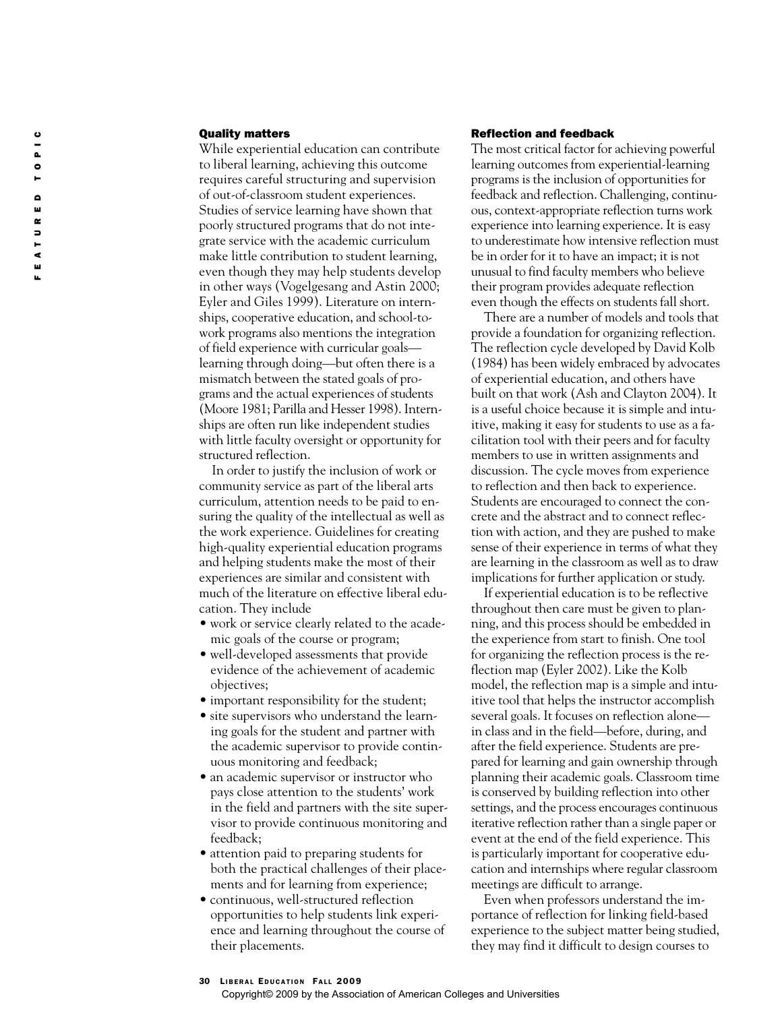# Quality matters

While experiential education can contribute to liberal learning, achieving this outcome requires careful structuring and supervision of out-of-classroom student experiences. Studies of service learning have shown that poorly structured programs that do not integrate service with the academic curriculum make little contribution to student learning, even though they may help students develop in other ways (Vogelgesang and Astin 2000; Eyler and Giles 1999). Literature on internships, cooperative education, and school-towork programs also mentions the integration of field experience with curricular goals learning through doing—but often there is a mismatch between the stated goals of programs and the actual experiences of students (Moore 1981; Parilla and Hesser 1998). Internships are often run like independent studies with little faculty oversight or opportunity for structured reflection.

In order to justify the inclusion of work or community service as part of the liberal arts curriculum, attention needs to be paid to ensuring the quality of the intellectual as well as the work experience. Guidelines for creating high-quality experiential education programs and helping students make the most of their experiences are similar and consistent with much of the literature on effective liberal education. They include

- work or service clearly related to the academic goals of the course or program;
- well-developed assessments that provide evidence of the achievement of academic objectives;
- important responsibility for the student;
- site supervisors who understand the learning goals for the student and partner with the academic supervisor to provide continuous monitoring and feedback;
- an academic supervisor or instructor who pays close attention to the students' work in the field and partners with the site supervisor to provide continuous monitoring and feedback;
- attention paid to preparing students for both the practical challenges of their placements and for learning from experience;
- continuous, well-structured reflection opportunities to help students link experience and learning throughout the course of their placements.

# Reflection and feedback

The most critical factor for achieving powerful learning outcomes from experiential-learning programs is the inclusion of opportunities for feedback and reflection. Challenging, continuous, context-appropriate reflection turns work experience into learning experience. It is easy to underestimate how intensive reflection must be in order for it to have an impact; it is not unusual to find faculty members who believe their program provides adequate reflection even though the effects on students fall short.

There are a number of models and tools that provide a foundation for organizing reflection. The reflection cycle developed by David Kolb (1984) has been widely embraced by advocates of experiential education, and others have built on that work (Ash and Clayton 2004). It is a useful choice because it is simple and intuitive, making it easy for students to use as a facilitation tool with their peers and for faculty members to use in written assignments and discussion. The cycle moves from experience to reflection and then back to experience. Students are encouraged to connect the concrete and the abstract and to connect reflection with action, and they are pushed to make sense of their experience in terms of what they are learning in the classroom as well as to draw implications for further application or study.

If experiential education is to be reflective throughout then care must be given to planning, and this process should be embedded in the experience from start to finish. One tool for organizing the reflection process is the reflection map (Eyler 2002). Like the Kolb model, the reflection map is a simple and intuitive tool that helps the instructor accomplish several goals. It focuses on reflection alone in class and in the field—before, during, and after the field experience. Students are prepared for learning and gain ownership through planning their academic goals. Classroom time is conserved by building reflection into other settings, and the process encourages continuous iterative reflection rather than a single paper or event at the end of the field experience. This is particularly important for cooperative education and internships where regular classroom meetings are difficult to arrange.

Even when professors understand the importance of reflection for linking field-based experience to the subject matter being studied, they may find it difficult to design courses to

## 30 LIBERAL EDUCATION FALL 2009